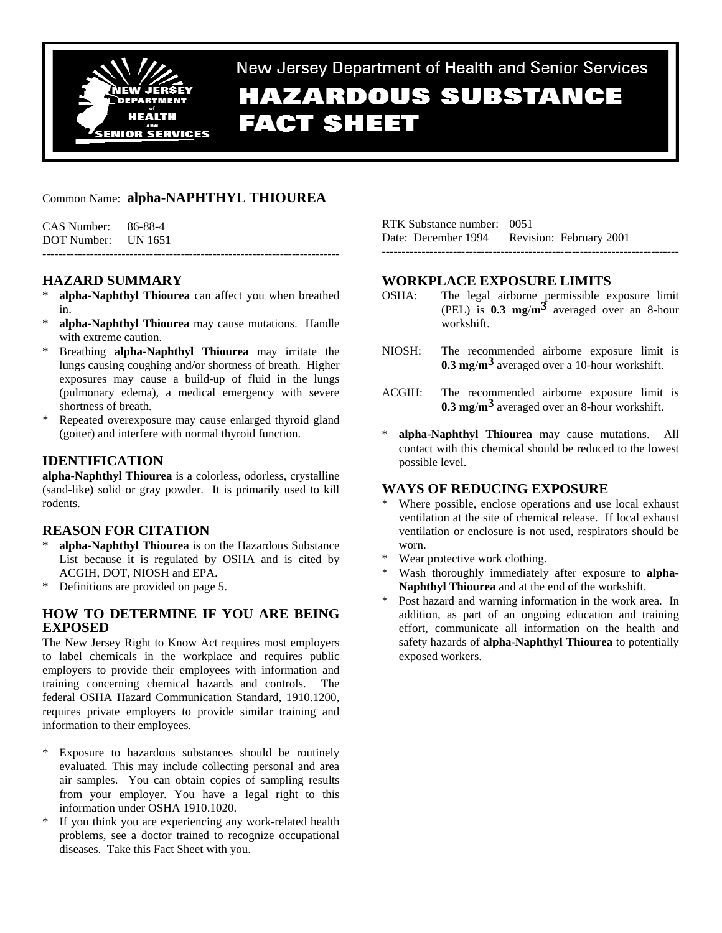

New Jersey Department of Health and Senior Services **HAZARDOUS SUBSTANCE FACT SHEET** 

## Common Name: **alpha-NAPHTHYL THIOUREA**

| $CAS$ Number: $86-88-4$ |  |
|-------------------------|--|
| DOT Number: UN 1651     |  |
|                         |  |

# **HAZARD SUMMARY**

- alpha-Naphthyl Thiourea can affect you when breathed in.
- \* **alpha-Naphthyl Thiourea** may cause mutations. Handle with extreme caution.
- \* Breathing **alpha-Naphthyl Thiourea** may irritate the lungs causing coughing and/or shortness of breath. Higher exposures may cause a build-up of fluid in the lungs (pulmonary edema), a medical emergency with severe shortness of breath.
- Repeated overexposure may cause enlarged thyroid gland (goiter) and interfere with normal thyroid function.

# **IDENTIFICATION**

**alpha-Naphthyl Thiourea** is a colorless, odorless, crystalline (sand-like) solid or gray powder. It is primarily used to kill rodents.

## **REASON FOR CITATION**

- alpha-Naphthyl Thiourea is on the Hazardous Substance List because it is regulated by OSHA and is cited by ACGIH, DOT, NIOSH and EPA.
- \* Definitions are provided on page 5.

## **HOW TO DETERMINE IF YOU ARE BEING EXPOSED**

The New Jersey Right to Know Act requires most employers to label chemicals in the workplace and requires public employers to provide their employees with information and training concerning chemical hazards and controls. The federal OSHA Hazard Communication Standard, 1910.1200, requires private employers to provide similar training and information to their employees.

- Exposure to hazardous substances should be routinely evaluated. This may include collecting personal and area air samples. You can obtain copies of sampling results from your employer. You have a legal right to this information under OSHA 1910.1020.
- \* If you think you are experiencing any work-related health problems, see a doctor trained to recognize occupational diseases. Take this Fact Sheet with you.

| RTK Substance number: 0051                  |  |
|---------------------------------------------|--|
| Date: December 1994 Revision: February 2001 |  |
|                                             |  |

## **WORKPLACE EXPOSURE LIMITS**

- OSHA: The legal airborne permissible exposure limit (PEL) is **0.3 mg**/**m3** averaged over an 8-hour workshift.
- NIOSH: The recommended airborne exposure limit is **0.3 mg**/**m3** averaged over a 10-hour workshift.
- ACGIH: The recommended airborne exposure limit is **0.3 mg**/**m3** averaged over an 8-hour workshift.
- alpha-Naphthyl Thiourea may cause mutations. All contact with this chemical should be reduced to the lowest possible level.

## **WAYS OF REDUCING EXPOSURE**

- \* Where possible, enclose operations and use local exhaust ventilation at the site of chemical release. If local exhaust ventilation or enclosure is not used, respirators should be worn.
- Wear protective work clothing.
- Wash thoroughly immediately after exposure to **alpha-Naphthyl Thiourea** and at the end of the workshift.
- \* Post hazard and warning information in the work area. In addition, as part of an ongoing education and training effort, communicate all information on the health and safety hazards of **alpha-Naphthyl Thiourea** to potentially exposed workers.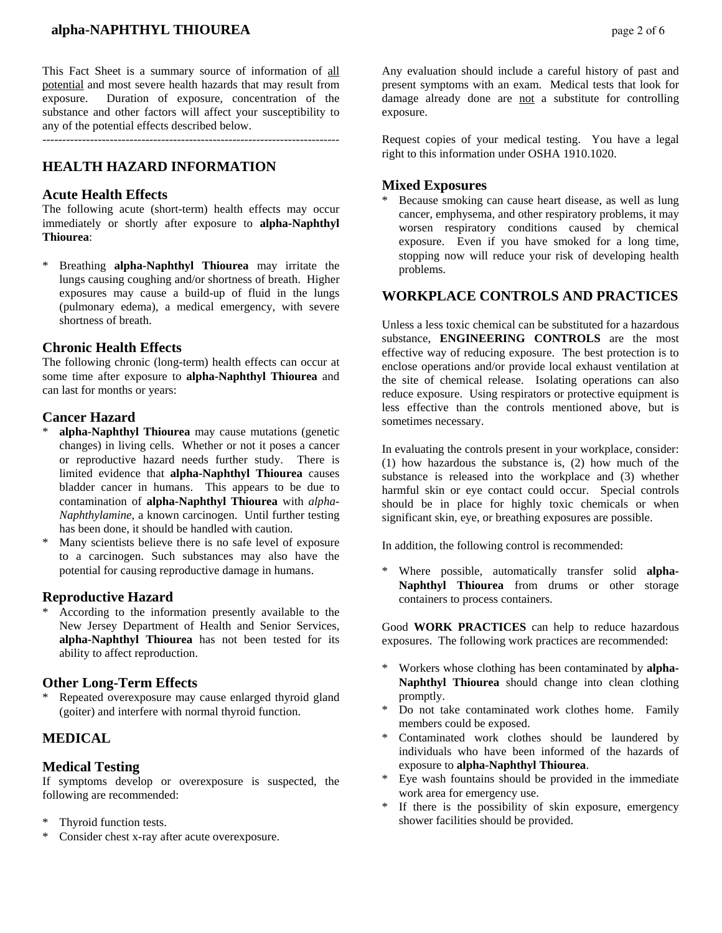This Fact Sheet is a summary source of information of all potential and most severe health hazards that may result from exposure. Duration of exposure, concentration of the substance and other factors will affect your susceptibility to any of the potential effects described below.

---------------------------------------------------------------------------

# **HEALTH HAZARD INFORMATION**

### **Acute Health Effects**

The following acute (short-term) health effects may occur immediately or shortly after exposure to **alpha-Naphthyl Thiourea**:

\* Breathing **alpha-Naphthyl Thiourea** may irritate the lungs causing coughing and/or shortness of breath. Higher exposures may cause a build-up of fluid in the lungs (pulmonary edema), a medical emergency, with severe shortness of breath.

### **Chronic Health Effects**

The following chronic (long-term) health effects can occur at some time after exposure to **alpha-Naphthyl Thiourea** and can last for months or years:

## **Cancer Hazard**

- alpha-Naphthyl Thiourea may cause mutations (genetic changes) in living cells. Whether or not it poses a cancer or reproductive hazard needs further study. There is limited evidence that **alpha-Naphthyl Thiourea** causes bladder cancer in humans. This appears to be due to contamination of **alpha-Naphthyl Thiourea** with *alpha-Naphthylamine*, a known carcinogen. Until further testing has been done, it should be handled with caution.
- \* Many scientists believe there is no safe level of exposure to a carcinogen. Such substances may also have the potential for causing reproductive damage in humans.

## **Reproductive Hazard**

According to the information presently available to the New Jersey Department of Health and Senior Services, **alpha-Naphthyl Thiourea** has not been tested for its ability to affect reproduction.

## **Other Long-Term Effects**

Repeated overexposure may cause enlarged thyroid gland (goiter) and interfere with normal thyroid function.

# **MEDICAL**

## **Medical Testing**

If symptoms develop or overexposure is suspected, the following are recommended:

- Thyroid function tests.
- \* Consider chest x-ray after acute overexposure.

Any evaluation should include a careful history of past and present symptoms with an exam. Medical tests that look for damage already done are not a substitute for controlling exposure.

Request copies of your medical testing. You have a legal right to this information under OSHA 1910.1020.

## **Mixed Exposures**

Because smoking can cause heart disease, as well as lung cancer, emphysema, and other respiratory problems, it may worsen respiratory conditions caused by chemical exposure. Even if you have smoked for a long time, stopping now will reduce your risk of developing health problems.

## **WORKPLACE CONTROLS AND PRACTICES**

Unless a less toxic chemical can be substituted for a hazardous substance, **ENGINEERING CONTROLS** are the most effective way of reducing exposure. The best protection is to enclose operations and/or provide local exhaust ventilation at the site of chemical release. Isolating operations can also reduce exposure. Using respirators or protective equipment is less effective than the controls mentioned above, but is sometimes necessary.

In evaluating the controls present in your workplace, consider: (1) how hazardous the substance is, (2) how much of the substance is released into the workplace and (3) whether harmful skin or eye contact could occur. Special controls should be in place for highly toxic chemicals or when significant skin, eye, or breathing exposures are possible.

In addition, the following control is recommended:

Where possible, automatically transfer solid **alpha-Naphthyl Thiourea** from drums or other storage containers to process containers.

Good **WORK PRACTICES** can help to reduce hazardous exposures. The following work practices are recommended:

- \* Workers whose clothing has been contaminated by **alpha-Naphthyl Thiourea** should change into clean clothing promptly.
- Do not take contaminated work clothes home. Family members could be exposed.
- \* Contaminated work clothes should be laundered by individuals who have been informed of the hazards of exposure to **alpha-Naphthyl Thiourea**.
- Eye wash fountains should be provided in the immediate work area for emergency use.
- \* If there is the possibility of skin exposure, emergency shower facilities should be provided.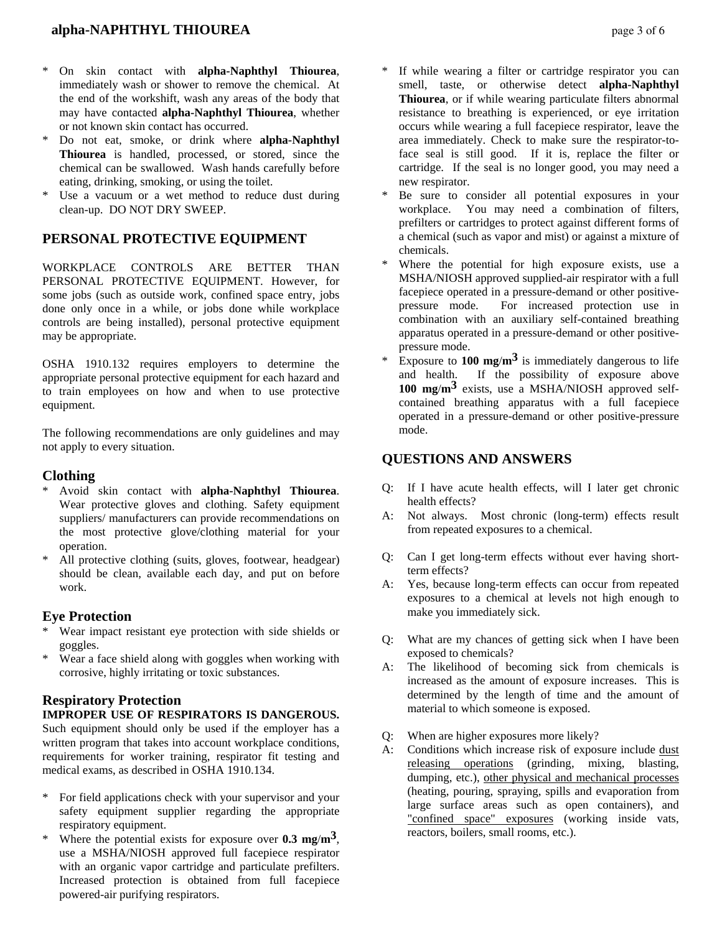- \* On skin contact with **alpha-Naphthyl Thiourea**, immediately wash or shower to remove the chemical. At the end of the workshift, wash any areas of the body that may have contacted **alpha-Naphthyl Thiourea**, whether or not known skin contact has occurred.
- \* Do not eat, smoke, or drink where **alpha-Naphthyl Thiourea** is handled, processed, or stored, since the chemical can be swallowed. Wash hands carefully before eating, drinking, smoking, or using the toilet.
- Use a vacuum or a wet method to reduce dust during clean-up. DO NOT DRY SWEEP.

## **PERSONAL PROTECTIVE EQUIPMENT**

WORKPLACE CONTROLS ARE BETTER THAN PERSONAL PROTECTIVE EQUIPMENT. However, for some jobs (such as outside work, confined space entry, jobs done only once in a while, or jobs done while workplace controls are being installed), personal protective equipment may be appropriate.

OSHA 1910.132 requires employers to determine the appropriate personal protective equipment for each hazard and to train employees on how and when to use protective equipment.

The following recommendations are only guidelines and may not apply to every situation.

## **Clothing**

- \* Avoid skin contact with **alpha-Naphthyl Thiourea**. Wear protective gloves and clothing. Safety equipment suppliers/ manufacturers can provide recommendations on the most protective glove/clothing material for your operation.
- All protective clothing (suits, gloves, footwear, headgear) should be clean, available each day, and put on before work.

## **Eye Protection**

- Wear impact resistant eye protection with side shields or goggles.
- Wear a face shield along with goggles when working with corrosive, highly irritating or toxic substances.

# **Respiratory Protection**

### **IMPROPER USE OF RESPIRATORS IS DANGEROUS.**

Such equipment should only be used if the employer has a written program that takes into account workplace conditions, requirements for worker training, respirator fit testing and medical exams, as described in OSHA 1910.134.

- \* For field applications check with your supervisor and your safety equipment supplier regarding the appropriate respiratory equipment.
- Where the potential exists for exposure over  $0.3 \text{ mg/m}^3$ , use a MSHA/NIOSH approved full facepiece respirator with an organic vapor cartridge and particulate prefilters. Increased protection is obtained from full facepiece powered-air purifying respirators.
- If while wearing a filter or cartridge respirator you can smell, taste, or otherwise detect **alpha-Naphthyl Thiourea**, or if while wearing particulate filters abnormal resistance to breathing is experienced, or eye irritation occurs while wearing a full facepiece respirator, leave the area immediately. Check to make sure the respirator-toface seal is still good. If it is, replace the filter or cartridge. If the seal is no longer good, you may need a new respirator.
- Be sure to consider all potential exposures in your workplace. You may need a combination of filters, prefilters or cartridges to protect against different forms of a chemical (such as vapor and mist) or against a mixture of chemicals.
- Where the potential for high exposure exists, use a MSHA/NIOSH approved supplied-air respirator with a full facepiece operated in a pressure-demand or other positivepressure mode. For increased protection use in combination with an auxiliary self-contained breathing apparatus operated in a pressure-demand or other positivepressure mode.
- Exposure to  $100 \text{ mg/m}^3$  is immediately dangerous to life and health. If the possibility of exposure above **100 mg**/**m3** exists, use a MSHA/NIOSH approved selfcontained breathing apparatus with a full facepiece operated in a pressure-demand or other positive-pressure mode.

## **QUESTIONS AND ANSWERS**

- Q: If I have acute health effects, will I later get chronic health effects?
- A: Not always. Most chronic (long-term) effects result from repeated exposures to a chemical.
- Q: Can I get long-term effects without ever having shortterm effects?
- A: Yes, because long-term effects can occur from repeated exposures to a chemical at levels not high enough to make you immediately sick.
- Q: What are my chances of getting sick when I have been exposed to chemicals?
- A: The likelihood of becoming sick from chemicals is increased as the amount of exposure increases. This is determined by the length of time and the amount of material to which someone is exposed.
- Q: When are higher exposures more likely?
- A: Conditions which increase risk of exposure include dust releasing operations (grinding, mixing, blasting, dumping, etc.), other physical and mechanical processes (heating, pouring, spraying, spills and evaporation from large surface areas such as open containers), and "confined space" exposures (working inside vats, reactors, boilers, small rooms, etc.).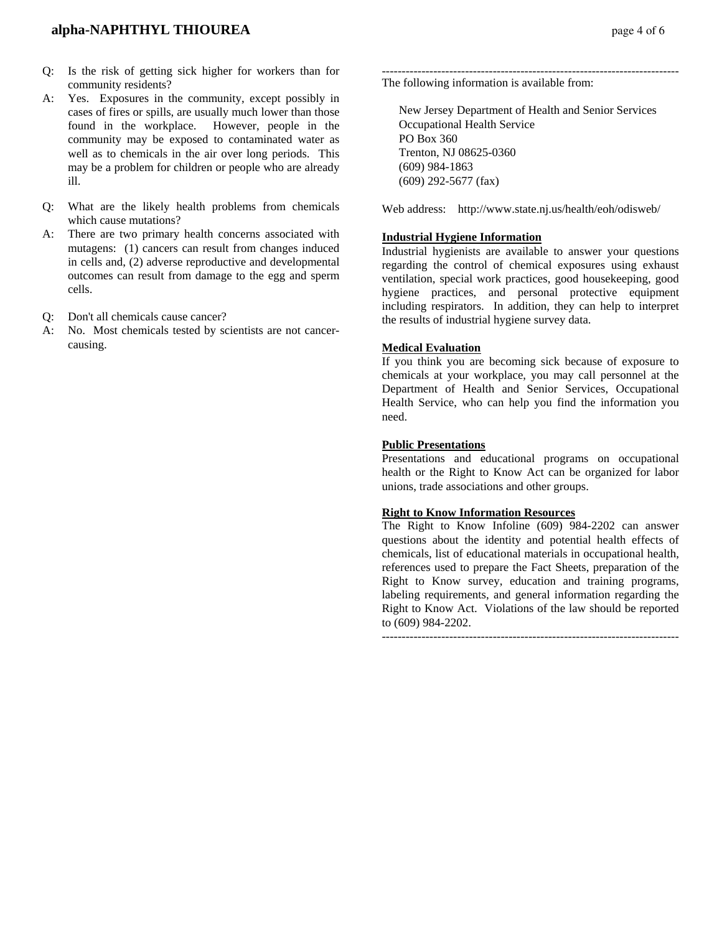- Q: Is the risk of getting sick higher for workers than for community residents?
- A: Yes. Exposures in the community, except possibly in cases of fires or spills, are usually much lower than those found in the workplace. However, people in the community may be exposed to contaminated water as well as to chemicals in the air over long periods. This may be a problem for children or people who are already ill.
- Q: What are the likely health problems from chemicals which cause mutations?
- A: There are two primary health concerns associated with mutagens: (1) cancers can result from changes induced in cells and, (2) adverse reproductive and developmental outcomes can result from damage to the egg and sperm cells.
- Q: Don't all chemicals cause cancer?
- A: No. Most chemicals tested by scientists are not cancercausing.

The following information is available from:

 New Jersey Department of Health and Senior Services Occupational Health Service PO Box 360 Trenton, NJ 08625-0360 (609) 984-1863 (609) 292-5677 (fax)

Web address: http://www.state.nj.us/health/eoh/odisweb/

#### **Industrial Hygiene Information**

Industrial hygienists are available to answer your questions regarding the control of chemical exposures using exhaust ventilation, special work practices, good housekeeping, good hygiene practices, and personal protective equipment including respirators. In addition, they can help to interpret the results of industrial hygiene survey data.

#### **Medical Evaluation**

If you think you are becoming sick because of exposure to chemicals at your workplace, you may call personnel at the Department of Health and Senior Services, Occupational Health Service, who can help you find the information you need.

#### **Public Presentations**

Presentations and educational programs on occupational health or the Right to Know Act can be organized for labor unions, trade associations and other groups.

#### **Right to Know Information Resources**

The Right to Know Infoline (609) 984-2202 can answer questions about the identity and potential health effects of chemicals, list of educational materials in occupational health, references used to prepare the Fact Sheets, preparation of the Right to Know survey, education and training programs, labeling requirements, and general information regarding the Right to Know Act. Violations of the law should be reported to (609) 984-2202.

---------------------------------------------------------------------------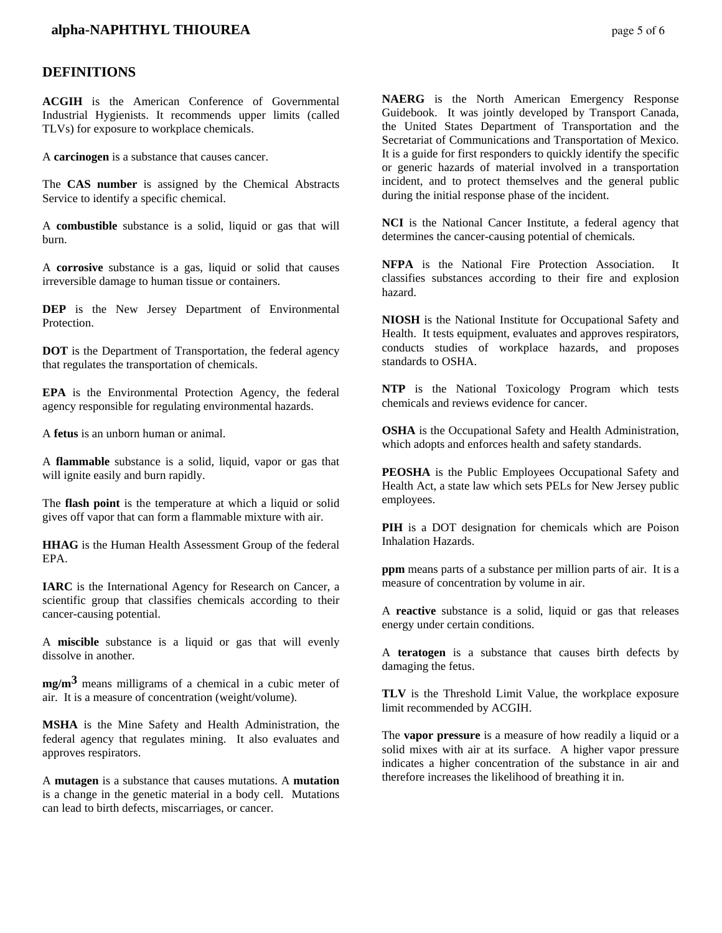## **alpha-NAPHTHYL THIOUREA page 5 of 6**

#### **DEFINITIONS**

**ACGIH** is the American Conference of Governmental Industrial Hygienists. It recommends upper limits (called TLVs) for exposure to workplace chemicals.

A **carcinogen** is a substance that causes cancer.

The **CAS number** is assigned by the Chemical Abstracts Service to identify a specific chemical.

A **combustible** substance is a solid, liquid or gas that will burn.

A **corrosive** substance is a gas, liquid or solid that causes irreversible damage to human tissue or containers.

**DEP** is the New Jersey Department of Environmental Protection.

**DOT** is the Department of Transportation, the federal agency that regulates the transportation of chemicals.

**EPA** is the Environmental Protection Agency, the federal agency responsible for regulating environmental hazards.

A **fetus** is an unborn human or animal.

A **flammable** substance is a solid, liquid, vapor or gas that will ignite easily and burn rapidly.

The **flash point** is the temperature at which a liquid or solid gives off vapor that can form a flammable mixture with air.

**HHAG** is the Human Health Assessment Group of the federal EPA.

**IARC** is the International Agency for Research on Cancer, a scientific group that classifies chemicals according to their cancer-causing potential.

A **miscible** substance is a liquid or gas that will evenly dissolve in another.

**mg/m3** means milligrams of a chemical in a cubic meter of air. It is a measure of concentration (weight/volume).

**MSHA** is the Mine Safety and Health Administration, the federal agency that regulates mining. It also evaluates and approves respirators.

A **mutagen** is a substance that causes mutations. A **mutation** is a change in the genetic material in a body cell. Mutations can lead to birth defects, miscarriages, or cancer.

**NAERG** is the North American Emergency Response Guidebook. It was jointly developed by Transport Canada, the United States Department of Transportation and the Secretariat of Communications and Transportation of Mexico. It is a guide for first responders to quickly identify the specific or generic hazards of material involved in a transportation incident, and to protect themselves and the general public during the initial response phase of the incident.

**NCI** is the National Cancer Institute, a federal agency that determines the cancer-causing potential of chemicals.

**NFPA** is the National Fire Protection Association. It classifies substances according to their fire and explosion hazard.

**NIOSH** is the National Institute for Occupational Safety and Health. It tests equipment, evaluates and approves respirators, conducts studies of workplace hazards, and proposes standards to OSHA.

**NTP** is the National Toxicology Program which tests chemicals and reviews evidence for cancer.

**OSHA** is the Occupational Safety and Health Administration, which adopts and enforces health and safety standards.

**PEOSHA** is the Public Employees Occupational Safety and Health Act, a state law which sets PELs for New Jersey public employees.

**PIH** is a DOT designation for chemicals which are Poison Inhalation Hazards.

**ppm** means parts of a substance per million parts of air. It is a measure of concentration by volume in air.

A **reactive** substance is a solid, liquid or gas that releases energy under certain conditions.

A **teratogen** is a substance that causes birth defects by damaging the fetus.

**TLV** is the Threshold Limit Value, the workplace exposure limit recommended by ACGIH.

The **vapor pressure** is a measure of how readily a liquid or a solid mixes with air at its surface. A higher vapor pressure indicates a higher concentration of the substance in air and therefore increases the likelihood of breathing it in.